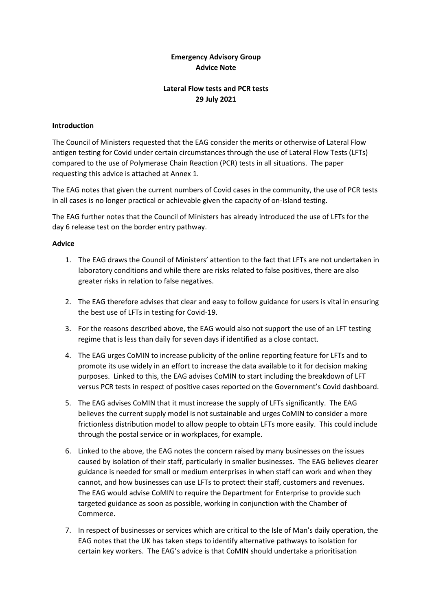### **Emergency Advisory Group Advice Note**

# **Lateral Flow tests and PCR tests 29 July 2021**

#### **Introduction**

The Council of Ministers requested that the EAG consider the merits or otherwise of Lateral Flow antigen testing for Covid under certain circumstances through the use of Lateral Flow Tests (LFTs) compared to the use of Polymerase Chain Reaction (PCR) tests in all situations. The paper requesting this advice is attached at Annex 1.

The EAG notes that given the current numbers of Covid cases in the community, the use of PCR tests in all cases is no longer practical or achievable given the capacity of on-Island testing.

The EAG further notes that the Council of Ministers has already introduced the use of LFTs for the day 6 release test on the border entry pathway.

### **Advice**

- 1. The EAG draws the Council of Ministers' attention to the fact that LFTs are not undertaken in laboratory conditions and while there are risks related to false positives, there are also greater risks in relation to false negatives.
- 2. The EAG therefore advises that clear and easy to follow guidance for users is vital in ensuring the best use of LFTs in testing for Covid-19.
- 3. For the reasons described above, the EAG would also not support the use of an LFT testing regime that is less than daily for seven days if identified as a close contact.
- 4. The EAG urges CoMIN to increase publicity of the online reporting feature for LFTs and to promote its use widely in an effort to increase the data available to it for decision making purposes. Linked to this, the EAG advises CoMIN to start including the breakdown of LFT versus PCR tests in respect of positive cases reported on the Government's Covid dashboard.
- 5. The EAG advises CoMIN that it must increase the supply of LFTs significantly. The EAG believes the current supply model is not sustainable and urges CoMIN to consider a more frictionless distribution model to allow people to obtain LFTs more easily. This could include through the postal service or in workplaces, for example.
- 6. Linked to the above, the EAG notes the concern raised by many businesses on the issues caused by isolation of their staff, particularly in smaller businesses. The EAG believes clearer guidance is needed for small or medium enterprises in when staff can work and when they cannot, and how businesses can use LFTs to protect their staff, customers and revenues. The EAG would advise CoMIN to require the Department for Enterprise to provide such targeted guidance as soon as possible, working in conjunction with the Chamber of Commerce.
- 7. In respect of businesses or services which are critical to the Isle of Man's daily operation, the EAG notes that the UK has taken steps to identify alternative pathways to isolation for certain key workers. The EAG's advice is that CoMIN should undertake a prioritisation